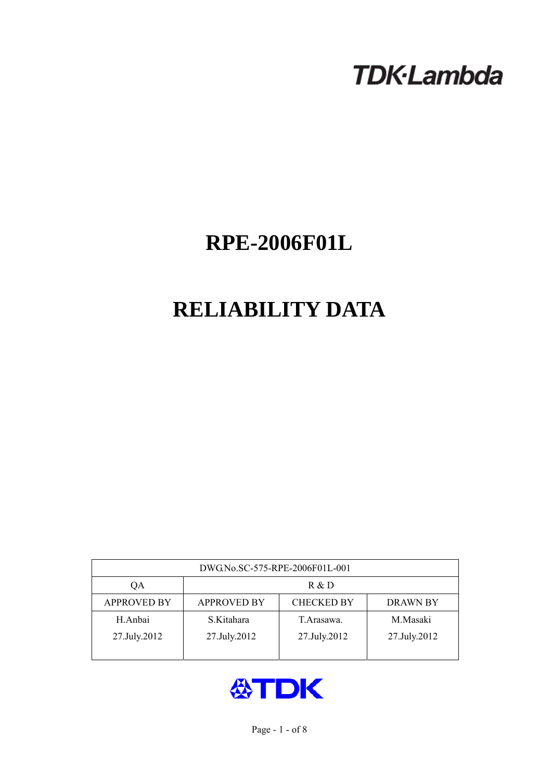# **TDK-Lambda**

# **RPE-2006F01L**

# **RELIABILITY DATA**

| DWG.No.SC-575-RPE-2006F01L-001 |                                                            |              |              |  |  |  |
|--------------------------------|------------------------------------------------------------|--------------|--------------|--|--|--|
| QA                             | R & D                                                      |              |              |  |  |  |
| <b>APPROVED BY</b>             | <b>CHECKED BY</b><br><b>APPROVED BY</b><br><b>DRAWN BY</b> |              |              |  |  |  |
| H.Anbai                        | S.Kitahara                                                 | T. Arasawa.  | M.Masaki     |  |  |  |
| 27.July.2012                   | 27.July.2012                                               | 27.July.2012 | 27.July.2012 |  |  |  |
|                                |                                                            |              |              |  |  |  |

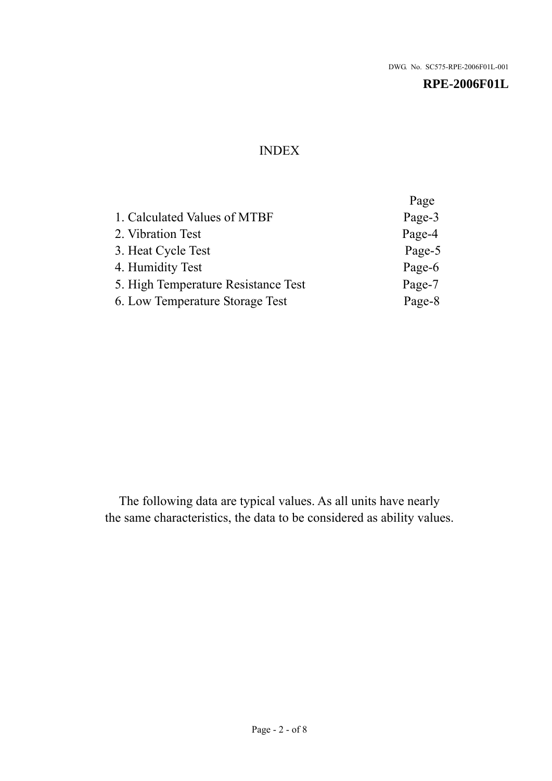# INDEX

|                                     | Page   |
|-------------------------------------|--------|
| 1. Calculated Values of MTBF        | Page-3 |
| 2. Vibration Test                   | Page-4 |
| 3. Heat Cycle Test                  | Page-5 |
| 4. Humidity Test                    | Page-6 |
| 5. High Temperature Resistance Test | Page-7 |
| 6. Low Temperature Storage Test     | Page-8 |

The following data are typical values. As all units have nearly the same characteristics, the data to be considered as ability values.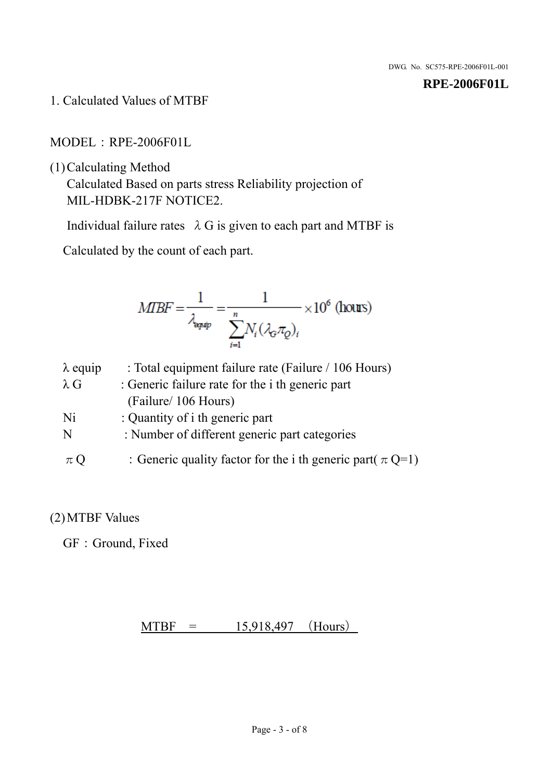1. Calculated Values of MTBF

MODEL:RPE-2006F01L

(1)Calculating Method

Calculated Based on parts stress Reliability projection of MIL-HDBK-217F NOTICE2.

Individual failure rates  $\lambda$  G is given to each part and MTBF is

Calculated by the count of each part.

$$
MIBF = \frac{1}{\lambda_{\text{expap}}} = \frac{1}{\sum_{i=1}^{n} N_i (\lambda_{\text{G}} \pi_Q)_i} \times 10^6 \text{ (hours)}
$$

| $\lambda$ equip | : Total equipment failure rate (Failure / 106 Hours)            |
|-----------------|-----------------------------------------------------------------|
| $\lambda$ G     | : Generic failure rate for the <i>i</i> th generic part         |
|                 | (Failure/ 106 Hours)                                            |
| Ni              | : Quantity of i th generic part                                 |
| N               | : Number of different generic part categories                   |
| $\pi Q$         | : Generic quality factor for the i th generic part( $\pi Q=1$ ) |

## (2)MTBF Values

GF: Ground, Fixed

## $MTBF = 15,918,497$  (Hours)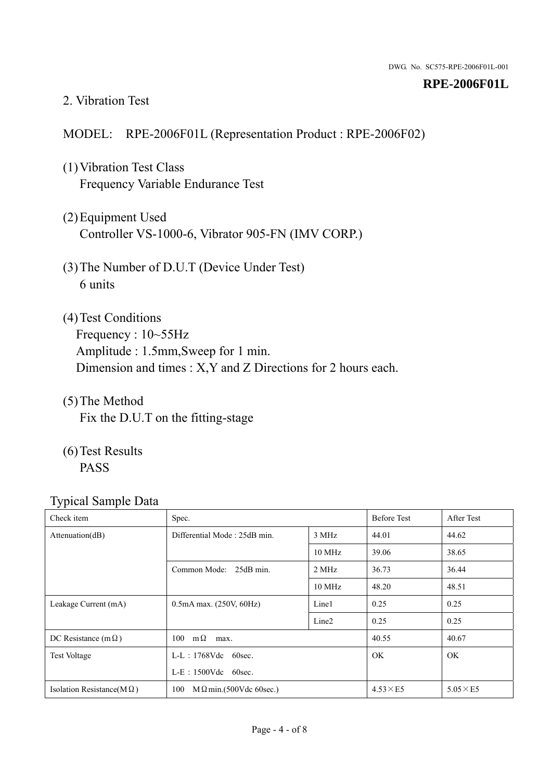#### 2. Vibration Test

### MODEL: RPE-2006F01L (Representation Product : RPE-2006F02)

- (1)Vibration Test Class Frequency Variable Endurance Test
- (2)Equipment Used Controller VS-1000-6, Vibrator 905-FN (IMV CORP.)
- (3)The Number of D.U.T (Device Under Test) 6 units
- (4) Test Conditions Frequency : 10~55Hz Amplitude : 1.5mm,Sweep for 1 min. Dimension and times : X,Y and Z Directions for 2 hours each.
- (5)The Method Fix the D.U.T on the fitting-stage
- (6)Test Results PASS

| Check item                        | Spec.                                |                   | <b>Before Test</b> | After Test      |
|-----------------------------------|--------------------------------------|-------------------|--------------------|-----------------|
| Attenuation(dB)                   | Differential Mode: 25dB min.         | 3 MHz             | 44.01              | 44.62           |
|                                   |                                      | $10 \text{ MHz}$  | 39.06              | 38.65           |
|                                   | Common Mode: 25dB min.               | 2 MHz             | 36.73              | 36.44           |
|                                   |                                      | 10 MHz            | 48.20              | 48.51           |
| Leakage Current (mA)              | $0.5mA$ max. $(250V, 60Hz)$          | Line1             | 0.25               | 0.25            |
|                                   |                                      | Line <sub>2</sub> | 0.25               | 0.25            |
| DC Resistance (m $\Omega$ )       | $100 \text{ m}\Omega$<br>max.        |                   | 40.55              | 40.67           |
| <b>Test Voltage</b>               | $L-L$ : 1768Vdc 60sec.               |                   | <b>OK</b>          | <b>OK</b>       |
|                                   | $L-E$ : 1500Vdc 60sec.               |                   |                    |                 |
| Isolation Resistance( $M\Omega$ ) | 100<br>$M\Omega$ min.(500Vdc 60sec.) |                   | $4.53\times E5$    | $5.05\times E5$ |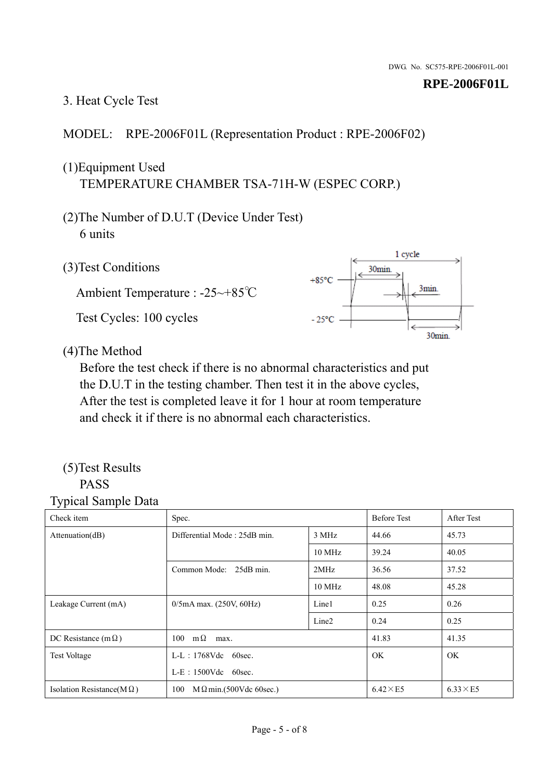## 3. Heat Cycle Test

## MODEL: RPE-2006F01L (Representation Product : RPE-2006F02)

## (1)Equipment Used TEMPERATURE CHAMBER TSA-71H-W (ESPEC CORP.)

- (2)The Number of D.U.T (Device Under Test) 6 units
- 1 cycle (3)Test Conditions 30<sub>min</sub>  $+85^{\circ}$ C 3min. Ambient Temperature : -25~+85℃ Test Cycles: 100 cycles  $-25^{\circ}$ C 30min.

## (4)The Method

Before the test check if there is no abnormal characteristics and put the D.U.T in the testing chamber. Then test it in the above cycles, After the test is completed leave it for 1 hour at room temperature and check it if there is no abnormal each characteristics.

#### (5)Test Results PASS

| Check item                        | Spec.                                |        | <b>Before Test</b> | After Test      |
|-----------------------------------|--------------------------------------|--------|--------------------|-----------------|
| Attention(dB)                     | Differential Mode: 25dB min.         | 3 MHz  | 44.66              | 45.73           |
|                                   |                                      | 10 MHz | 39.24              | 40.05           |
|                                   | Common Mode: 25dB min.               | 2MHz   | 36.56              | 37.52           |
|                                   |                                      | 10 MHz | 48.08              | 45.28           |
| Leakage Current (mA)              | $0/5$ mA max. (250V, 60Hz)           | Line1  | 0.25               | 0.26            |
|                                   |                                      | Line2  | 0.24               | 0.25            |
| DC Resistance (m $\Omega$ )       | $100 \text{ m}\Omega$<br>max.        |        | 41.83              | 41.35           |
| <b>Test Voltage</b>               | $L-L$ : 1768Vdc 60sec.               |        | OK.                | OK.             |
|                                   | $L-E$ : 1500Vdc 60sec.               |        |                    |                 |
| Isolation Resistance(M $\Omega$ ) | 100<br>$M\Omega$ min.(500Vdc 60sec.) |        | $6.42\times E5$    | $6.33\times E5$ |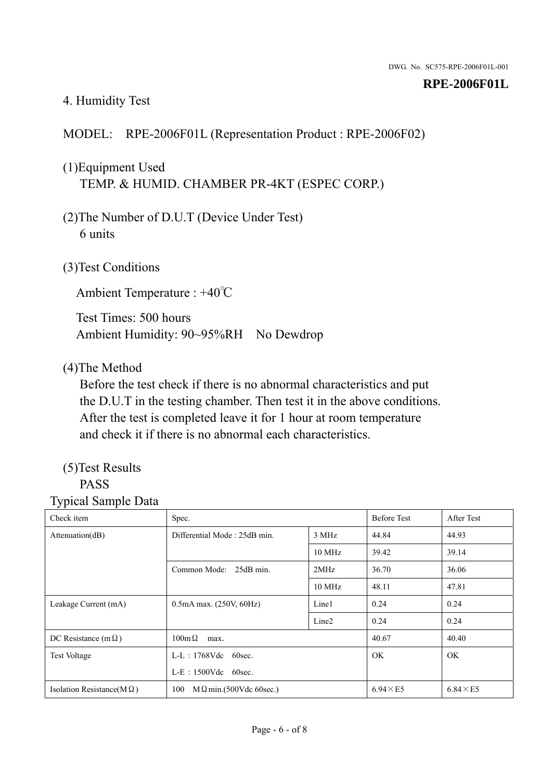## 4. Humidity Test

### MODEL: RPE-2006F01L (Representation Product : RPE-2006F02)

## (1)Equipment Used TEMP. & HUMID. CHAMBER PR-4KT (ESPEC CORP.)

- (2)The Number of D.U.T (Device Under Test) 6 units
- (3)Test Conditions

Ambient Temperature : +40℃

Test Times: 500 hours Ambient Humidity: 90~95%RH No Dewdrop

#### (4)The Method

Before the test check if there is no abnormal characteristics and put the D.U.T in the testing chamber. Then test it in the above conditions. After the test is completed leave it for 1 hour at room temperature and check it if there is no abnormal each characteristics.

# (5)Test Results

## PASS

| Check item                        | Spec.                                 |                   | <b>Before Test</b> | After Test      |
|-----------------------------------|---------------------------------------|-------------------|--------------------|-----------------|
| Attenuation(dB)                   | Differential Mode: 25dB min.          | 3 MHz             | 44.84              | 44.93           |
|                                   |                                       | 10 MHz            | 39.42              | 39.14           |
|                                   | Common Mode: 25dB min.                | 2MHz              | 36.70              | 36.06           |
|                                   |                                       | 10 MHz            | 48.11              | 47.81           |
| Leakage Current (mA)              | $0.5mA$ max. $(250V, 60Hz)$           | Line1             | 0.24               | 0.24            |
|                                   |                                       | Line <sub>2</sub> | 0.24               | 0.24            |
| DC Resistance (m $\Omega$ )       | $100m\Omega$<br>max.                  |                   |                    | 40.40           |
| <b>Test Voltage</b>               | $L-L$ : 1768Vdc 60sec.                |                   |                    | OK.             |
|                                   | $L-E$ : 1500Vdc 60sec.                |                   |                    |                 |
| Isolation Resistance(M $\Omega$ ) | 100<br>$M \Omega$ min.(500Vdc 60sec.) |                   | $6.94\times E5$    | $6.84\times E5$ |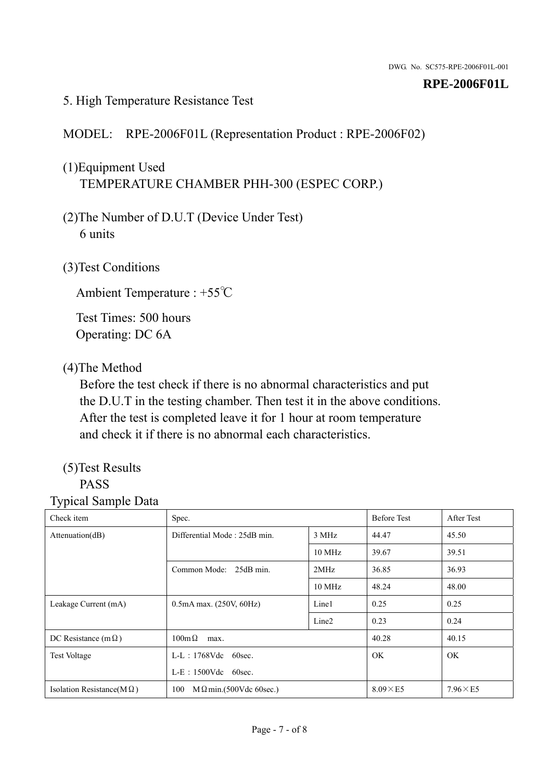### 5. High Temperature Resistance Test

## MODEL: RPE-2006F01L (Representation Product : RPE-2006F02)

# (1)Equipment Used TEMPERATURE CHAMBER PHH-300 (ESPEC CORP.)

- (2)The Number of D.U.T (Device Under Test) 6 units
- (3)Test Conditions

Ambient Temperature : +55℃

Test Times: 500 hours Operating: DC 6A

### (4)The Method

Before the test check if there is no abnormal characteristics and put the D.U.T in the testing chamber. Then test it in the above conditions. After the test is completed leave it for 1 hour at room temperature and check it if there is no abnormal each characteristics.

# (5)Test Results

# PASS

| ັ່<br>л.<br>Check item            | Spec.                                 |                   | <b>Before Test</b> | After Test      |
|-----------------------------------|---------------------------------------|-------------------|--------------------|-----------------|
| Attenuation(dB)                   | Differential Mode: 25dB min.          | 3 MHz             | 44.47              | 45.50           |
|                                   |                                       | 10 MHz            | 39.67              | 39.51           |
|                                   | Common Mode: 25dB min.                | 2MHz              | 36.85              | 36.93           |
|                                   |                                       | 10 MHz            | 48.24              | 48.00           |
| Leakage Current (mA)              | $0.5mA$ max. $(250V, 60Hz)$           | Line1             | 0.25               | 0.25            |
|                                   |                                       | Line <sub>2</sub> | 0.23               | 0.24            |
| DC Resistance (m $\Omega$ )       | $100 \text{m}\,\Omega$<br>max.        |                   | 40.28              | 40.15           |
| <b>Test Voltage</b>               | $L-L$ : 1768Vdc 60sec.                |                   | OK.                | OK.             |
|                                   | $L-E$ : 1500Vdc 60sec.                |                   |                    |                 |
| Isolation Resistance(M $\Omega$ ) | $M \Omega$ min.(500Vdc 60sec.)<br>100 |                   | $8.09\times E5$    | $7.96\times E5$ |